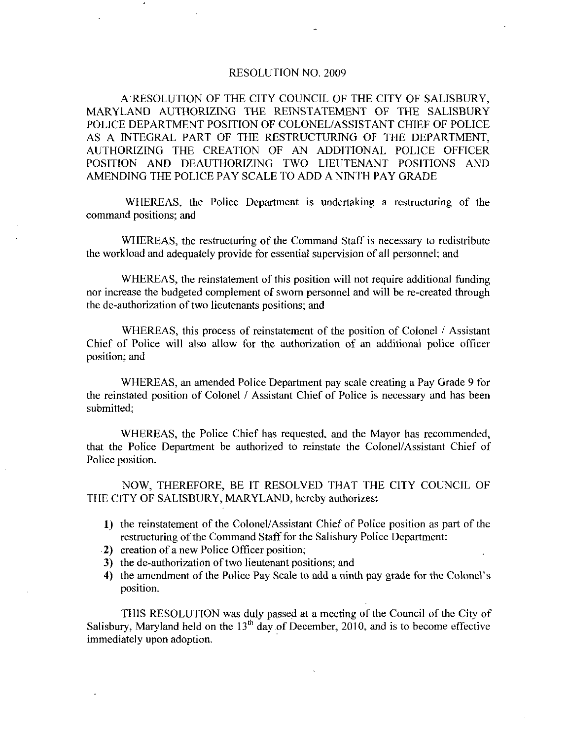## RESOLUTION NO. 2009

A RESOLUTION OF THE CITY COUNCIL OF THE CITY OF SALISBURY MARYLAND AUTHORIZING THE REINSTATEMENT OF THE SALISBURY POLICE DEPARTMENT POSITION OP COLONEL ASSISTANT CHIEF OF POLICE AS A INTEGRAL PART OF THE RESTRUCTURING OF THE DEPARTMENT AUTHORIZING THE CREATION OF AN ADDITIONAL POLICE OFFICER POSITION AND DEAUTHORIZING TWO LIEUTENANT POSITIONS AND AMENDING THE POLICE PAY SCALE TO ADD A NINTH PAY GRADE

WHEREAS, the Police Department is undertaking a restructuring of the command positions; and

WHEREAS, the restructuring of the Command Staff is necessary to redistribute the workload and adequately provide for essential supervision of all personnel; and

WHEREAS, the reinstatement of this position will not require additional funding nor increase the budgeted complement of sworn personnel and will be recreated through the de-authorization of two lieutenants positions; and

WHEREAS, this process of reinstatement of the position of Colonel / Assistant Chief of Police will also allow for the authorization of an additional police officer position; and

WHEREAS, an amended Police Department pay scale creating a Pay Grade 9 for the reinstated position of Colonel / Assistant Chief of Police is necessary and has been submitted;

WHEREAS, the Police Chief has requested, and the Mayor has recommended, that the Police Department be authorized to reinstate the Colonel/Assistant Chief of Police position

NOW, THEREFORE, BE IT RESOLVED THAT THE CITY COUNCIL OF THE CITY OF SALISBURY, MARYLAND, hereby authorizes:

- 1) the reinstatement of the Colonel/Assistant Chief of Police position as part of the restructuring of the Command Staff for the Salisbury Police Department:
- 2) creation of a new Police Officer position;
- 3) the de-authorization of two lieutenant positions; and
- 4) the amendment of the Police Pay Scale to add a ninth pay grade for the Colonel's position

THIS RESOLUTION was duly passed at a meeting of the Council of the City of Salisbury, Maryland held on the  $13<sup>th</sup>$  day of December, 2010, and is to become effective immediately upon adoption immediately upon adoption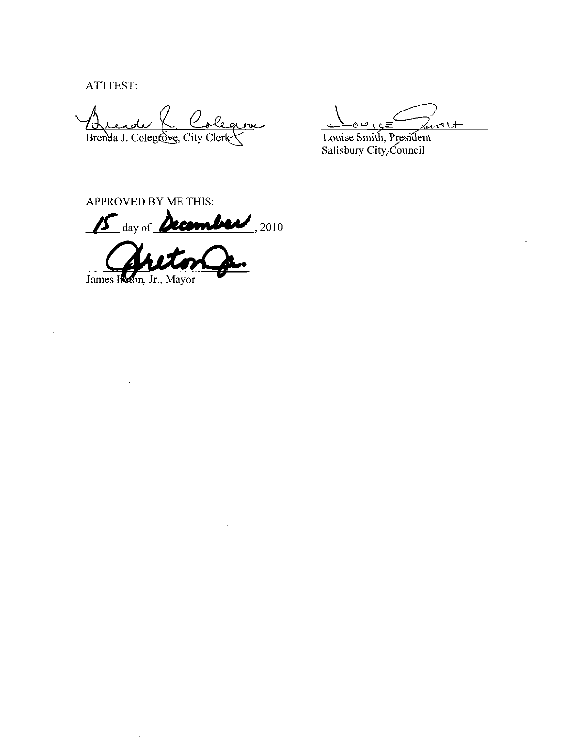ATTTEST:

O aleane <u>Brende K Cole</u>

Louise Smith, President<br>Salisbury City, Council

APPROVED BY ME THIS:

15 day of December, 2010

James Ireton, Jr., Mayor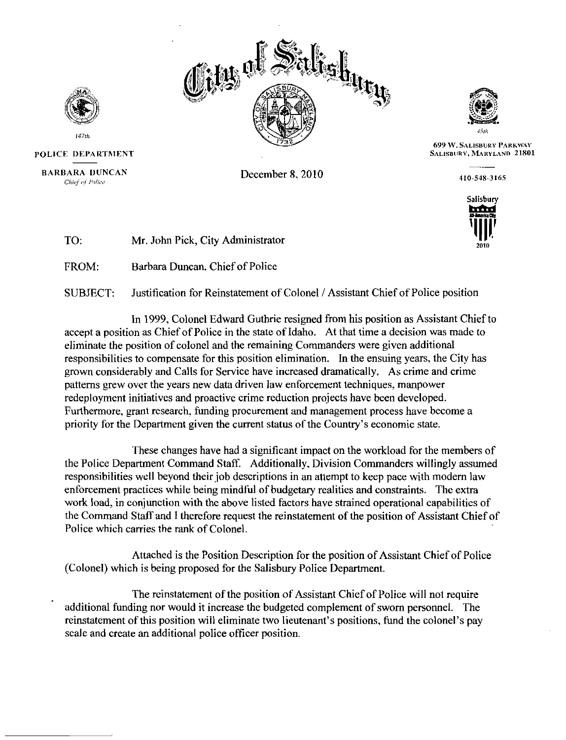



699 W. SALISBURY PARKWAY SALISBURY, MARYLAND 21801

 $\frac{110-548-3165}{ }$ 





147th POLICE DEPARTMENT

**BARBARA DUNCAN**<br>Chief of Police

December 8, 2010

To Mr. John Pick, City Administrator

FROM Barbara Duncan, Chief of Police

SUBJECT: Justification for Reinstatement of Colonel / Assistant Chief of Police position

In 1999, Colonel Edward Guthrie resigned from his position as Assistant Chief to accept a position as Chief of Police in the state of Idaho. At that time a decision was made to eliminate the position of colonel and the remaining Commanders were given additional responsibilities to compensate for this position elimination. In the ensuing years, the City has grown considerably and Calls for Service have increased dramatically As crime and crime patterns grew over the years new data driven law enforcement techniques, manpower redeployment initiatives and proactive crime reduction projects have been developed Furthermore, grant research, funding procurement and management process have become a priority for the Department given the current status of the Country's economic state. grown considerably and Calls for Service have increased dramatically. As crime are patterns grew over the years new data driven law enforcement techniques, manpower redeployment initiatives and proactive crime reduction pr

These changes have had a significant impact on the workload for the members of the Police Department Command Staff. Additionally, Division Commanders willingly assumed responsibilities well beyond their job descriptions in an attempt to keep pace with modern law enforcement practices while being mindful of budgetary realities and constraints. The extra work load, in conjunction with the above listed factors have strained operational capabilities of the Command Staff and I therefore request the reinstatement of the position of Assistant Chief of Police which carries the rank of Colonel

Attached is the Position Description for the position of Assistant Chief of Police (Colonel) which is being proposed for the Salisbury Police Department.

The reinstatement of the position of Assistant Chief of Police will not require additional funding nor would it increase the budgeted complement of sworn personnel. The reinstatement of this position will eliminate two lieutenant's positions, fund the colonel's pay scale and create an additional police officer position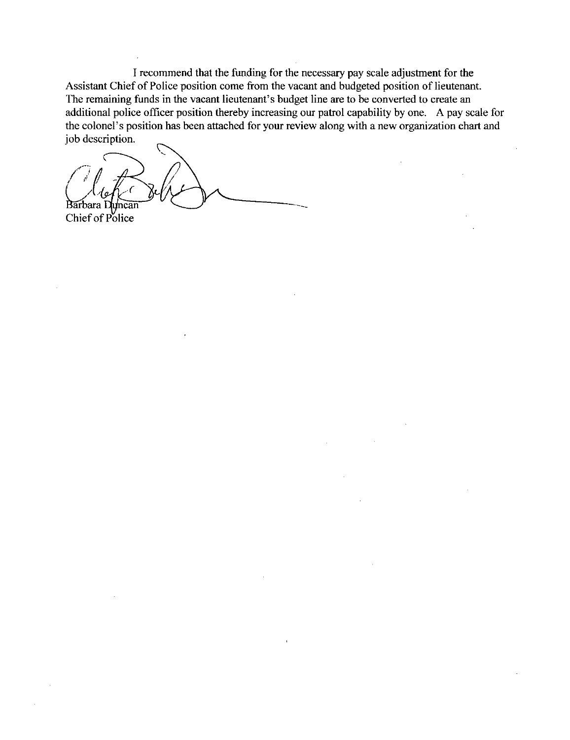I recommend that the funding for the necessary pay scale adjustment for the Assistant Chief of Police position come from the vacant and budgeted position of lieutenant The remaining funds in the vacant lieutenant's budget line are to be converted to create an additional police officer position thereby increasing our patrol capability by one. A pay scale for the colonel's position has bee additional police officer position thereby increasing our patrol capability by one. A pay scale for I recommend that the funding for the necessary pay scale adjustment for the<br>Assistant Chief of Police position come from the vacant and budgeted position of lieutenant.<br>The remaining funds in the vacant lieutenant's budget iob description

 $\begin{pmatrix} 1 \\ 1 \end{pmatrix}$ Barbara Duncan Chief of Police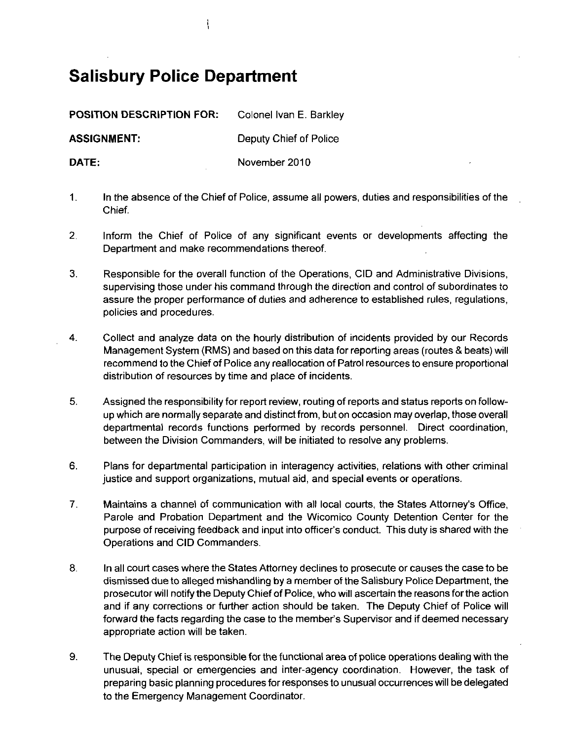## Salisbury Police Department

POSITION DESCRIPTION FOR: Colonel Ivan E. Barkley

ASSIGNMENT: Deputy Chief of Police

DATE: November 2010

- $\mathbf{1}$ . In the absence of the Chief of Police, assume all powers, duties and responsibilities of the Chief
- $2<sub>1</sub>$ Inform the Chief of Police of any significant events or developments affecting the Department and make recommendations thereof
- 3. Responsible for the overall function of the Operations. CID and Administrative Divisions. supervising those under his command through the direction and control of subordinates to assure the proper performance of duties and adherence to established rules, regulations, policies and procedures
- 4 Collect and analyze data on the hourly distribution of incidents provided by our Records Management System (RMS) and based on this data for reporting areas (routes & beats) will recommend to the Chief of Police any reallocation of Patrol resources to ensure proportional distribution of resources by time and place of incidents
- 5. Assigned the responsibility for report review, routing of reports and status reports on followup which are normally separate and distinct from, but on occasion may overlap, those overall departmental records functions performed by records personnel. Direct coordination, between the Division Commanders, will be initiated to resolve any problems.
- 6 Plans for departmental participation in interagency activities relations with other criminal justice and support organizations, mutual aid, and special events or operations.
- Plans for departmental participation in interagency activities, relations with other criminal justice and support organizations, mutual aid, and special events or operations.<br>Maintains a channel of communication with all l Maintains a channel of communication with all local courts, the States Attorney's Office,<br>Parole and Probation Department and the Wicomico County Detention Center for the<br>purpose of receiving feedback and input into office  $7<sub>1</sub>$ Operations and CID Commanders
- 8. In all court cases where the States Attorney declines to prosecute or causes the case to be dismissed due to alleged mishandling by a member of the Salisbury Police Department, the prosecutor will notify the Deputy Chie dismissed due to alleged mishandling by a member of the Salisbury Police Department, the prosecutor will notifythe Deputy Chief of Police who will ascertain the reasons forthe action and if any corrections or further action should be taken. The Deputy Chief of Police will appropriate action will be taken
- 9. The Deputy Chief is responsible for the functional area of police operations dealing with the unusual, special or emergencies and inter-agency coordination. However, the task of preparing basic planning procedures for responses to unusual occurrences will be delegated to the Emergency Management Coordinator

ł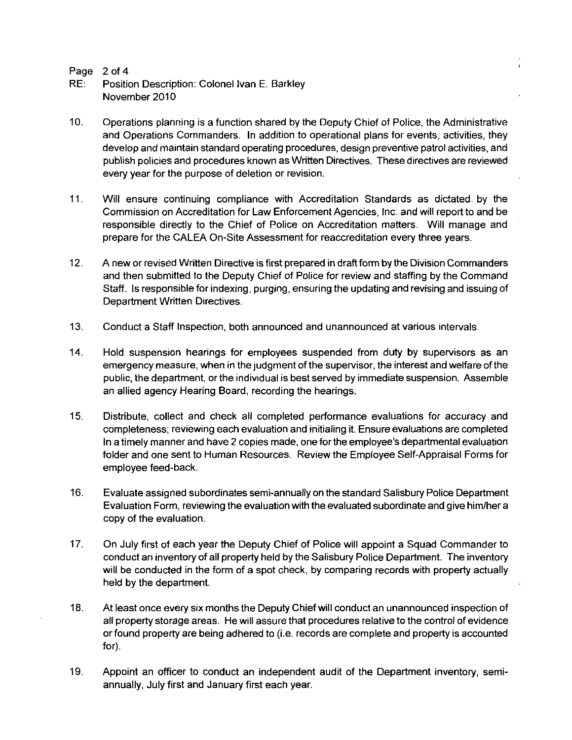Page 2 of 4<br>RE: Position

- **Position Description: Colonel Ivan E. Barkley** November 2010
- 10. Operations planning is a function shared by the Deputy Chief of Police, the Administrative and Operations Commanders. In addition to operational plans for events, activities, they develop and maintain standard operating procedures design preventive patrol activities and publish policies and procedures known as Written Directives These directives are reviewed every year for the purpose of deletion or revision
- 11 Will ensure continuing compliance with Accreditation Standards as dictated by the Commission on Accreditation for Law Enforcement Agencies Inc and will report to and be responsible directly to the Chief of Police on Accreditation matters. Will manage and prepare for the CALEA On Site Assessment for reaccreditation every three years
- 12. A new or revised Written Directive is first prepared in draft form by the Division Commanders and then submitted to the Deputy Chief of Police for review and staffing by the Command Staff. Is responsible for indexing, purging, ensuring the updating and revising and issuing of Department Written Directives
- 13. Conduct a Staff Inspection, both announced and unannounced at various intervals.
- 14. Hold suspension hearings for employees suspended from duty by supervisors as an emergency measure, when in the judgment of the supervisor, the interest and welfare of the public, the department, or the individual is best served by immediate suspension. Assemble an allied agency Hearing Board, recording the hearings.
- 15. Distribute, collect and check all completed performance evaluations for accuracy and completeness; reviewing each evaluation and initialing it. Ensure evaluations are completed public, the department, or the individual is best served by immediate suspension. Assemble<br>an allied agency Hearing Board, recording the hearings.<br>Distribute, collect and check all completed performance evaluations for acc In a timely manner and have 2 copies made, one for the employee's departmental evaluation folder and one sent to Human Resources. Review the Employee Self-Appraisal Forms for employee feed-back.
- 16. Evaluate assigned subordinates semi-annually on the standard Salisbury Police Department Evaluation Form, reviewing the evaluation with the evaluated subordinate and give him/her a copy of the evaluation
- 17. On July first of each year the Deputy Chief of Police will appoint a Squad Commander to conduct an inventory of all property held by the Salisbury Police Department. The inventory will be conducted in the form of a spot check, by comparing records with property actually held by the department
- 18. At least once every six months the Deputy Chief will conduct an unannounced inspection of all property storage areas. He will assure that procedures relative to the control of evidence neid by the department.<br>At least once every six months the Deputy Chief will conduct an unannounced inspection of<br>all property storage areas. He will assure that procedures relative to the control of evidence<br>or found prop for
- 19. Appoint an officer to conduct an independent audit of the Department inventory, semiannually, July first and January first each year.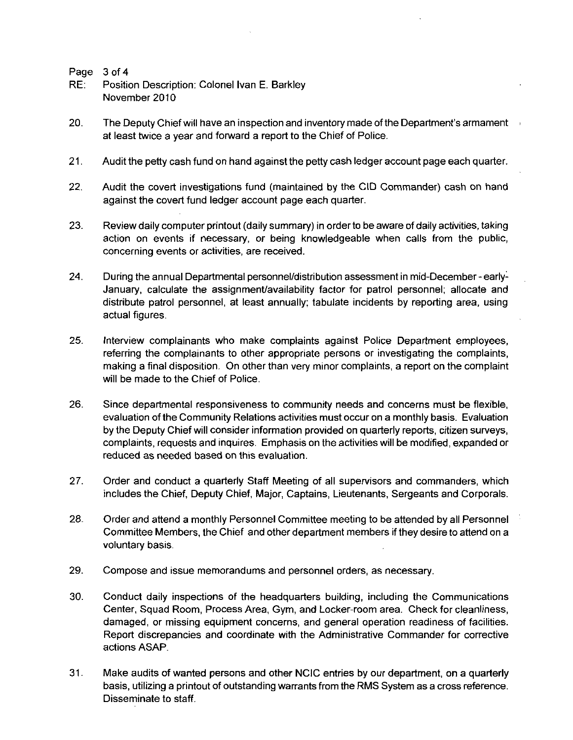Page 3 of 4

- RE: Position Description: Colonel Ivan E. Barkley November 2010
- 20 Page 3 of 4<br>20 The Deputy Chief will have an inspection and inventory made of the Department's armament<br>20. The Deputy Chief will have an inspection and inventory made of the Department's armament<br>20. The Deputy Chief w at least twice <sup>a</sup> year and forward a report to the Chief of Police
- 21. Audit the petty cash fund on hand against the petty cash ledger account page each quarter.
- 22. Audit the covert investigations fund (maintained by the CID Commander) cash on hand against the covert fund ledger account page each quarter
- 23. Review daily computer printout (daily summary) in order to be aware of daily activities, taking action on events if necessary, or being knowledgeable when calls from the public, concerning events or activities, are received.
- 24. During the annual Departmental personnel/distribution assessment in mid-December early-January, calculate the assignment/availability factor for patrol personnel; allocate and distribute patrol personnel, at least annually; tabulate incidents by reporting area, using actual figures
- 25. Interview complainants who make complaints against Police Department employees, referring the complainants to other appropriate persons or investigating the complaints making a final disposition. On other than very minor complaints, a report on the complaint will be made to the Chief of Police.
- 26. Since departmental responsiveness to community needs and concerns must be flexible, evaluation of theCommunity Relations activities must occuron amonthly basis Evaluation by the Deputy Chief will consider information provided on quarterly reports, citizen surveys, complaints, requests and inquires. Emphasis on the activities will be modified, expanded or reduced as needed based on this evaluation
- 27. Order and conduct a quarterly Staff Meeting of all supervisors and commanders, which includes the Chief, Deputy Chief, Major, Captains, Lieutenants, Sergeants and Corporals.
- 28. Order and attend a monthly Personnel Committee meeting to be attended by all Personnel Committee Members, the Chief and other department members if they desire to attend on a voluntary basis
- 29. Compose and issue memorandums and personnel orders, as necessary.
- 30 Conduct daily inspections of the headquarters building including the Communications Center, Squad Room, Process Area, Gym, and Locker-room area. Check for cleanliness, damaged, or missing equipment concerns, and general operation readiness of facilities. Report discrepancies and coordinate with the Administrative Commander for corrective actions ASAP
- 31. Make audits of wanted persons and other NCIC entries by our department, on a quarterly basis, utilizing a printout of outstanding warrants from the RMS System as a cross reference. Disseminate to staff.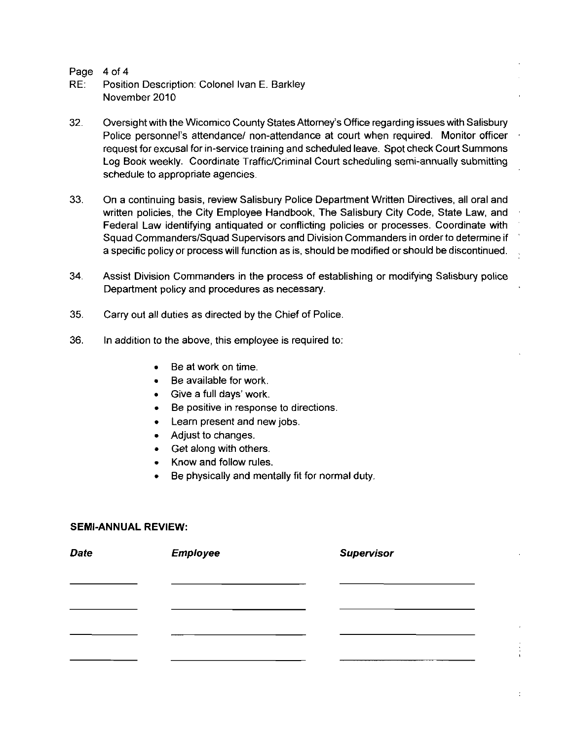Page 4 of 4

- RE: Position Description: Colonel Ivan E. Barkley November 2010
- 32. Position Description: Colonel Ivan E. Barkley<br>32. Oversight with the Wicomico County States Attorney's Office regarding issues with Salisbury<br>32. Oversight with the Wicomico County States Attorney's Office regarding is 4 of 4<br>Position Description: Colonel Ivan E. Barkley<br>November 2010<br>Oversight with the Wicomico County States Attorney's Office regarding issues with Salisbury<br>Police personnel's attendance/ non-attendance at court when req Oversight with the Wicomico County States Attorney's Office regarding issues with Salisbury<br>Police personnel's attendance/ non-attendance at court when required. Monitor officer<br>request for excusal for in-service training request for excusal for in-service training and scheduled leave. Spot check Court Summons<br>Log Book weekly. Coordinate Traffic/Criminal Court scheduling semi-annually submitting schedule to appropriate agencies.
- 33. On a continuing basis, review Salisbury Police Department Written Directives, all oral and written policies, the City Employee Handbook, The Salisbury City Code, State Law, and Federal Law identifying antiquated or conflicting policies or processes. Coordinate with<br>Squad Commanders/Squad Supervisors and Division Commanders in order to determine if a specific policy or process will function as is, should be modified or should be discontinued.
- 34 Assist Division Commanders in the process of establishing or modifying Salisbury police Department policy and procedures as necessary
- 35. Carry out all duties as directed by the Chief of Police.
- 36. In addition to the above, this employee is required to:
	- Be at work on time
	- Be available for work
	- Give a full days' work.
	- Be positive in response to directions  $\bullet$
	- Learn present and new jobs
	- Adjust to changes
	- Get along with others
	- Know and follow rules
	- Be physically and mentally fit for normal duty

## SEMI-ANNUAL REVIEW:

| <b>Date</b> | <b>Employee</b> | <b>Supervisor</b> |  |  |  |  |
|-------------|-----------------|-------------------|--|--|--|--|
|             |                 |                   |  |  |  |  |
|             |                 |                   |  |  |  |  |
|             |                 |                   |  |  |  |  |
|             |                 |                   |  |  |  |  |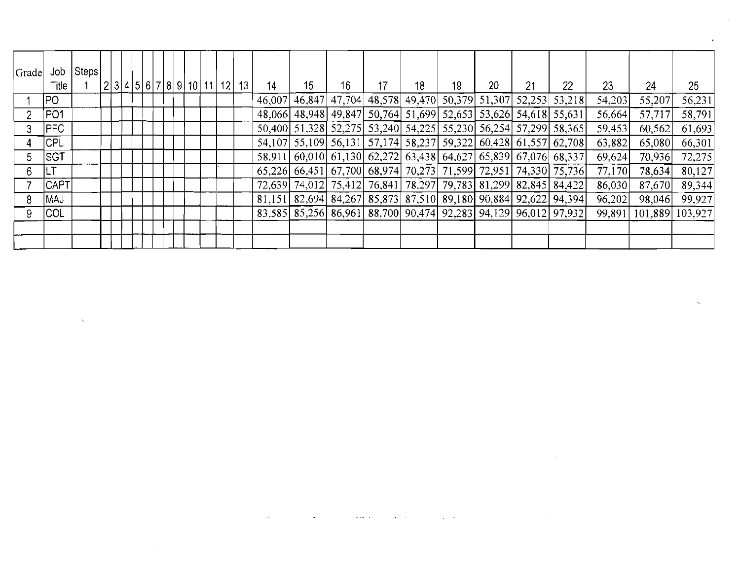| Grade | Job<br>Title    | Steps |  |  |  |  | 2 3 4 5 6 7 8 9 10 11 12 | 13 | 14     | 15 <sup>15</sup> | 16 <sup>°</sup> | 17 | 18 | 19 | 20 | 21 | 22                                                                      | 23     | 24              | 25 <sub>1</sub> |
|-------|-----------------|-------|--|--|--|--|--------------------------|----|--------|------------------|-----------------|----|----|----|----|----|-------------------------------------------------------------------------|--------|-----------------|-----------------|
|       | IPO I           |       |  |  |  |  |                          |    | 46,007 |                  |                 |    |    |    |    |    | 46,847   47,704   48,578   49,470   50,379   51,307   52,253   53,218   | 54,203 | 55,207          | 56,231          |
|       | <b>PO1</b>      |       |  |  |  |  |                          |    |        |                  |                 |    |    |    |    |    | 48,066 48,948 49,847 50,764 51,699 52,653 53,626 54,618 55,631          | 56.664 | 57,717          | 58,791          |
|       | PFC             |       |  |  |  |  |                          |    |        |                  |                 |    |    |    |    |    | 50,400 51,328 52,275 53,240 54,225 55,230 56,254 57,299 58,365          | 59,453 | 60,562          | 61,693          |
|       | <b>CPL</b>      |       |  |  |  |  |                          |    |        |                  |                 |    |    |    |    |    | 54, 107 55, 109 56, 131 57, 174 58, 237 59, 322 60, 428 61, 557 62, 708 | 63,882 | 65,080          | 66,301          |
| 5.    | <b>SGT</b>      |       |  |  |  |  |                          |    |        |                  |                 |    |    |    |    |    | 58,911 60,010 61,130 62,272 63,438 64,627 65,839 67,076 68,337          | 69.624 | 70,936          | 72,275          |
| 6.    | <sub>I</sub> LT |       |  |  |  |  |                          |    |        |                  |                 |    |    |    |    |    | 65,226 66,451 67,700 68,974 70,273 71,599 72,951 74,330 75,736          | 77,170 | 78,634          | 80,127          |
|       | <b>CAPT</b>     |       |  |  |  |  |                          |    |        |                  |                 |    |    |    |    |    | 72,639 74,012 75,412 76,841 78,297 79,783 81,299 82,845 84,422          | 86,030 | 87,670          | 89,344          |
|       | MAJ             |       |  |  |  |  |                          |    |        |                  |                 |    |    |    |    |    | 81,151 82,694 84,267 85,873 87,510 89,180 90,884 92,622 94,394          | 96,202 | 98,046          | 99,927          |
|       | <b>COL</b>      |       |  |  |  |  |                          |    |        |                  |                 |    |    |    |    |    | 83,585 85,256 86,961 88,700 90,474 92,283 94,129 96,012 97,932          | 99.891 | 101,889 103,927 |                 |
|       |                 |       |  |  |  |  |                          |    |        |                  |                 |    |    |    |    |    |                                                                         |        |                 |                 |
|       |                 |       |  |  |  |  |                          |    |        |                  |                 |    |    |    |    |    |                                                                         |        |                 |                 |

 $\mathcal{L}^{\text{max}}_{\text{max}}$ 

 $\alpha_{\rm{max}}$ 

 $\label{eq:2.1} \frac{1}{\sqrt{2}}\int_{\mathbb{R}^3}\frac{1}{\sqrt{2}}\left(\frac{1}{\sqrt{2}}\right)^2\left(\frac{1}{\sqrt{2}}\right)^2\left(\frac{1}{\sqrt{2}}\right)^2\left(\frac{1}{\sqrt{2}}\right)^2\left(\frac{1}{\sqrt{2}}\right)^2\left(\frac{1}{\sqrt{2}}\right)^2.$ 

 $\mathcal{L}(\mathcal{L}(\mathcal{L}(\mathcal{L}(\mathcal{L}(\mathcal{L}(\mathcal{L}(\mathcal{L}(\mathcal{L}(\mathcal{L}(\mathcal{L}(\mathcal{L}(\mathcal{L}(\mathcal{L}(\mathcal{L}(\mathcal{L}(\mathcal{L}(\mathcal{L}(\mathcal{L}(\mathcal{L}(\mathcal{L}(\mathcal{L}(\mathcal{L}(\mathcal{L}(\mathcal{L}(\mathcal{L}(\mathcal{L}(\mathcal{L}(\mathcal{L}(\mathcal{L}(\mathcal{L}(\mathcal{L}(\mathcal{L}(\mathcal{L}(\mathcal{L}(\mathcal{L}(\mathcal{$ 

 $\mathcal{L}_{\text{max}}$  . The contract of the contract of the contract of the contract of the contract of the contract of the contract of the contract of the contract of the contract of the contract of the contract of the contract